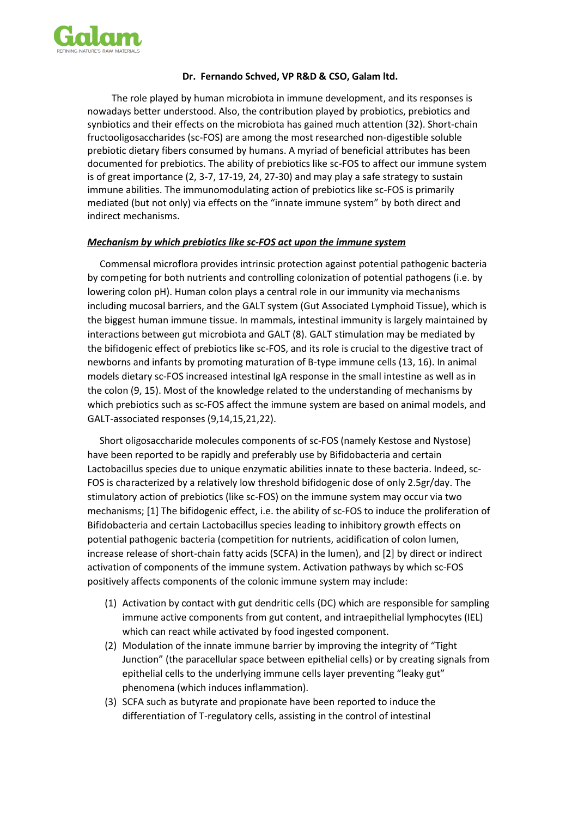

### **Dr. Fernando Schved, VP R&D & CSO, Galam ltd.**

 The role played by human microbiota in immune development, and its responses is nowadays better understood. Also, the contribution played by probiotics, prebiotics and synbiotics and their effects on the microbiota has gained much attention (32). Short-chain fructooligosaccharides (sc-FOS) are among the most researched non-digestible soluble prebiotic dietary fibers consumed by humans. A myriad of beneficial attributes has been documented for prebiotics. The ability of prebiotics like sc-FOS to affect our immune system is of great importance (2, 3-7, 17-19, 24, 27-30) and may play a safe strategy to sustain immune abilities. The immunomodulating action of prebiotics like sc-FOS is primarily mediated (but not only) via effects on the "innate immune system" by both direct and indirect mechanisms.

# *Mechanism by which prebiotics like sc-FOS act upon the immune system*

 Commensal microflora provides intrinsic protection against potential pathogenic bacteria by competing for both nutrients and controlling colonization of potential pathogens (i.e. by lowering colon pH). Human colon plays a central role in our immunity via mechanisms including mucosal barriers, and the GALT system (Gut Associated Lymphoid Tissue), which is the biggest human immune tissue. In mammals, intestinal immunity is largely maintained by interactions between gut microbiota and GALT (8). GALT stimulation may be mediated by the bifidogenic effect of prebiotics like sc-FOS, and its role is crucial to the digestive tract of newborns and infants by promoting maturation of B-type immune cells (13, 16). In animal models dietary sc-FOS increased intestinal IgA response in the small intestine as well as in the colon (9, 15). Most of the knowledge related to the understanding of mechanisms by which prebiotics such as sc-FOS affect the immune system are based on animal models, and GALT-associated responses (9,14,15,21,22).

 Short oligosaccharide molecules components of sc-FOS (namely Kestose and Nystose) have been reported to be rapidly and preferably use by Bifidobacteria and certain Lactobacillus species due to unique enzymatic abilities innate to these bacteria. Indeed, sc-FOS is characterized by a relatively low threshold bifidogenic dose of only 2.5gr/day. The stimulatory action of prebiotics (like sc-FOS) on the immune system may occur via two mechanisms; [1] The bifidogenic effect, i.e. the ability of sc-FOS to induce the proliferation of Bifidobacteria and certain Lactobacillus species leading to inhibitory growth effects on potential pathogenic bacteria (competition for nutrients, acidification of colon lumen, increase release of short-chain fatty acids (SCFA) in the lumen), and [2] by direct or indirect activation of components of the immune system. Activation pathways by which sc-FOS positively affects components of the colonic immune system may include:

- (1) Activation by contact with gut dendritic cells (DC) which are responsible for sampling immune active components from gut content, and intraepithelial lymphocytes (IEL) which can react while activated by food ingested component.
- (2) Modulation of the innate immune barrier by improving the integrity of "Tight Junction" (the paracellular space between epithelial cells) or by creating signals from epithelial cells to the underlying immune cells layer preventing "leaky gut" phenomena (which induces inflammation).
- (3) SCFA such as butyrate and propionate have been reported to induce the differentiation of T-regulatory cells, assisting in the control of intestinal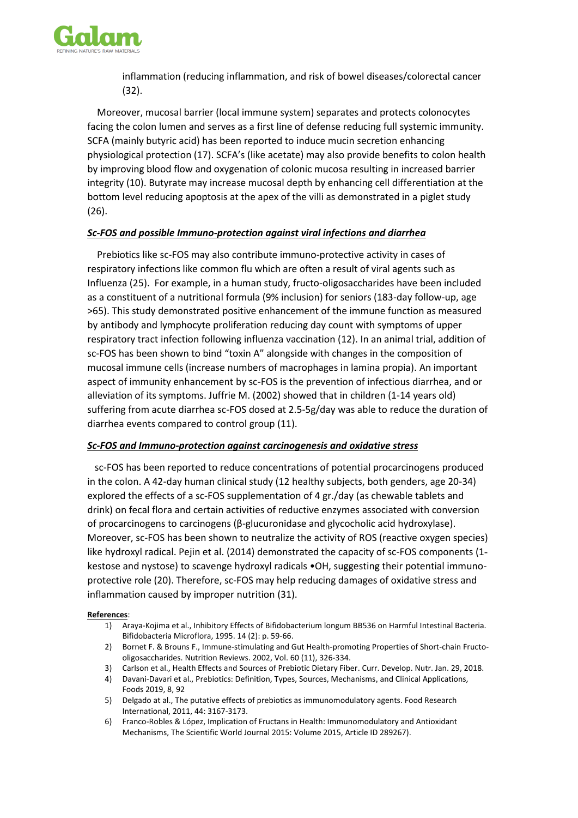

inflammation (reducing inflammation, and risk of bowel diseases/colorectal cancer (32).

 Moreover, mucosal barrier (local immune system) separates and protects colonocytes facing the colon lumen and serves as a first line of defense reducing full systemic immunity. SCFA (mainly butyric acid) has been reported to induce mucin secretion enhancing physiological protection (17). SCFA's (like acetate) may also provide benefits to colon health by improving blood flow and oxygenation of colonic mucosa resulting in increased barrier integrity (10). Butyrate may increase mucosal depth by enhancing cell differentiation at the bottom level reducing apoptosis at the apex of the villi as demonstrated in a piglet study (26).

# *Sc-FOS and possible Immuno-protection against viral infections and diarrhea*

 Prebiotics like sc-FOS may also contribute immuno-protective activity in cases of respiratory infections like common flu which are often a result of viral agents such as Influenza (25). For example, in a human study, fructo-oligosaccharides have been included as a constituent of a nutritional formula (9% inclusion) for seniors (183-day follow-up, age >65). This study demonstrated positive enhancement of the immune function as measured by antibody and lymphocyte proliferation reducing day count with symptoms of upper respiratory tract infection following influenza vaccination (12). In an animal trial, addition of sc-FOS has been shown to bind "toxin A" alongside with changes in the composition of mucosal immune cells (increase numbers of macrophages in lamina propia). An important aspect of immunity enhancement by sc-FOS is the prevention of infectious diarrhea, and or alleviation of its symptoms. Juffrie M. (2002) showed that in children (1-14 years old) suffering from acute diarrhea sc-FOS dosed at 2.5-5g/day was able to reduce the duration of diarrhea events compared to control group (11).

# *Sc-FOS and Immuno-protection against carcinogenesis and oxidative stress*

 sc-FOS has been reported to reduce concentrations of potential procarcinogens produced in the colon. A 42-day human clinical study (12 healthy subjects, both genders, age 20-34) explored the effects of a sc-FOS supplementation of 4 gr./day (as chewable tablets and drink) on fecal flora and certain activities of reductive enzymes associated with conversion of procarcinogens to carcinogens (β-glucuronidase and glycocholic acid hydroxylase). Moreover, sc-FOS has been shown to neutralize the activity of ROS (reactive oxygen species) like hydroxyl radical. Pejin et al. (2014) demonstrated the capacity of sc-FOS components (1 kestose and nystose) to scavenge hydroxyl radicals •OH, suggesting their potential immunoprotective role (20). Therefore, sc-FOS may help reducing damages of oxidative stress and inflammation caused by improper nutrition (31).

### **References**:

- 1) Araya-Kojima et al., Inhibitory Effects of Bifidobacterium longum BB536 on Harmful Intestinal Bacteria. Bifidobacteria Microflora, 1995. 14 (2): p. 59-66.
- 2) Bornet F. & Brouns F., Immune-stimulating and Gut Health-promoting Properties of Short-chain Fructooligosaccharides. Nutrition Reviews. 2002, Vol. 60 (11), 326-334.
- 3) Carlson et al., Health Effects and Sources of Prebiotic Dietary Fiber. Curr. Develop. Nutr. Jan. 29, 2018.
- 4) Davani-Davari et al., Prebiotics: Definition, Types, Sources, Mechanisms, and Clinical Applications, Foods 2019, 8, 92
- 5) Delgado at al., The putative effects of prebiotics as immunomodulatory agents. Food Research International, 2011, 44: 3167-3173.
- 6) Franco-Robles & López, Implication of Fructans in Health: Immunomodulatory and Antioxidant Mechanisms, The Scientific World Journal 2015: Volume 2015, Article ID 289267).